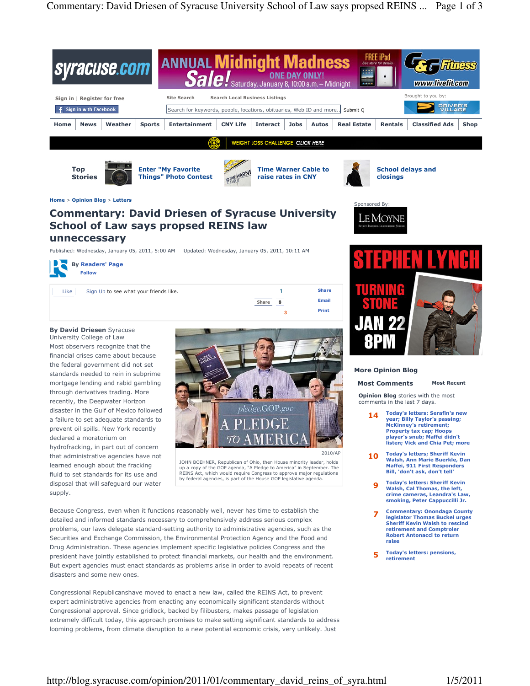

## Commentary: David Driesen of Syracuse University School of Law says propsed REINS law unneccessary

Published: Wednesday, January 05, 2011, 5:00 AM Updated: Wednesday, January 05, 2011, 10:11 AM



Like Sign Up to see what your friends like.

By David Driesen Syracuse University College of Law

Most observers recognize that the financial crises came about because the federal government did not set standards needed to rein in subprime mortgage lending and rabid gambling through derivatives trading. More recently, the Deepwater Horizon disaster in the Gulf of Mexico followed a failure to set adequate standards to prevent oil spills. New York recently declared a moratorium on hydrofracking, in part out of concern that administrative agencies have not learned enough about the fracking fluid to set standards for its use and disposal that will safeguard our water supply.



**3**

Share Email Print

**1** Share 8

JOHN BOEHNER, Republican of Ohio, then House minority leader, holds up a copy of the GOP agenda, "A Pledge to America" in September. The REINS Act, which would require Congress to approve major regulations by federal agencies, is part of the House GOP legislative agenda.

Because Congress, even when it functions reasonably well, never has time to establish the detailed and informed standards necessary to comprehensively address serious complex problems, our laws delegate standard-setting authority to administrative agencies, such as the Securities and Exchange Commission, the Environmental Protection Agency and the Food and Drug Administration. These agencies implement specific legislative policies Congress and the president have jointly established to protect financial markets, our health and the environment. But expert agencies must enact standards as problems arise in order to avoid repeats of recent disasters and some new ones.

Congressional Republicanshave moved to enact a new law, called the REINS Act, to prevent expert administrative agencies from enacting any economically significant standards without Congressional approval. Since gridlock, backed by filibusters, makes passage of legislation extremely difficult today, this approach promises to make setting significant standards to address looming problems, from climate disruption to a new potential economic crisis, very unlikely. Just



## More Opinion Blog

le Moyne

## Most Comments Most Recent

Opinion Blog stories with the most comments in the last 7 days.

- 14 Today's letters: Serafin's new year; Billy Taylor's passing; McKinney's retirement; Property tax cap; Hoops player's snub; Maffei didn't listen; Vick and Chia Pet; more
- 10 Today's letters; Sheriff Kevin Walsh, Ann Marie Buerkle, Dan Maffei, 911 First Responders Bill, 'don't ask, don't tell'
	- 9 Today's letters: Sheriff Kevin Walsh, Cal Thomas, the left, crime cameras, Leandra's Law, smoking, Peter Cappuccilli Jr.
- 7 Commentary: Onondaga County legislator Thomas Buckel urges Sheriff Kevin Walsh to rescind retirement and Comptroler Robert Antonacci to return raise
- 5 Today's letters: pensions, retirement